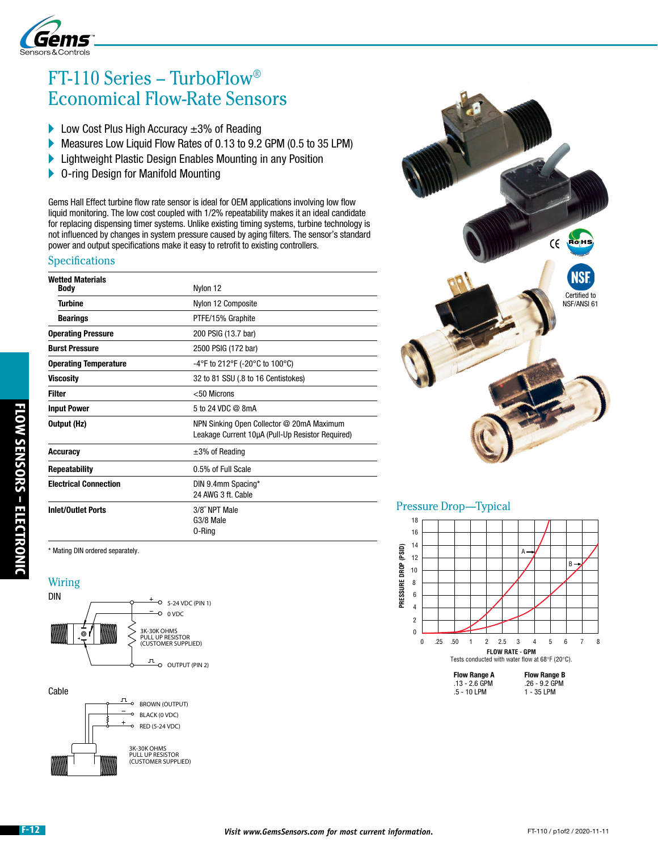

# FT-110 Series – TurboFlow® Economical Flow-Rate Sensors

- Low Cost Plus High Accuracy  $\pm 3\%$  of Reading
- Measures Low Liquid Flow Rates of 0.13 to 9.2 GPM (0.5 to 35 LPM)
- **Lightweight Plastic Design Enables Mounting in any Position**
- ▶ O-ring Design for Manifold Mounting

Gems Hall Effect turbine flow rate sensor is ideal for OEM applications involving low flow liquid monitoring. The low cost coupled with 1/2% repeatability makes it an ideal candidate for replacing dispensing timer systems. Unlike existing timing systems, turbine technology is not influenced by changes in system pressure caused by aging filters. The sensor's standard power and output specifications make it easy to retrofit to existing controllers.

#### **Specifications**

| <b>Wetted Materials</b><br><b>Body</b> |                                                                                               |  |  |  |  |
|----------------------------------------|-----------------------------------------------------------------------------------------------|--|--|--|--|
|                                        | Nylon 12                                                                                      |  |  |  |  |
| <b>Turbine</b>                         | Nylon 12 Composite                                                                            |  |  |  |  |
| <b>Bearings</b>                        | PTFE/15% Graphite                                                                             |  |  |  |  |
| <b>Operating Pressure</b>              | 200 PSIG (13.7 bar)                                                                           |  |  |  |  |
| <b>Burst Pressure</b>                  | 2500 PSIG (172 bar)                                                                           |  |  |  |  |
| <b>Operating Temperature</b>           | -4°F to 212°F (-20°C to 100°C)                                                                |  |  |  |  |
| <b>Viscosity</b>                       | 32 to 81 SSU (.8 to 16 Centistokes)                                                           |  |  |  |  |
| <b>Filter</b>                          | $<$ 50 Microns                                                                                |  |  |  |  |
| <b>Input Power</b>                     | 5 to 24 VDC @ 8mA                                                                             |  |  |  |  |
| Output (Hz)                            | NPN Sinking Open Collector @ 20mA Maximum<br>Leakage Current 10µA (Pull-Up Resistor Required) |  |  |  |  |
| <b>Accuracy</b>                        | $\pm 3\%$ of Reading                                                                          |  |  |  |  |
| <b>Repeatability</b>                   | 0.5% of Full Scale                                                                            |  |  |  |  |
| <b>Electrical Connection</b>           | DIN 9.4mm Spacing*<br>24 AWG 3 ft. Cable                                                      |  |  |  |  |
| <b>Inlet/Outlet Ports</b>              | 3/8" NPT Male<br>G3/8 Male<br>0-Ring                                                          |  |  |  |  |

\* Mating DIN ordered separately.

### **Wiring**







### Pressure Drop—Typical